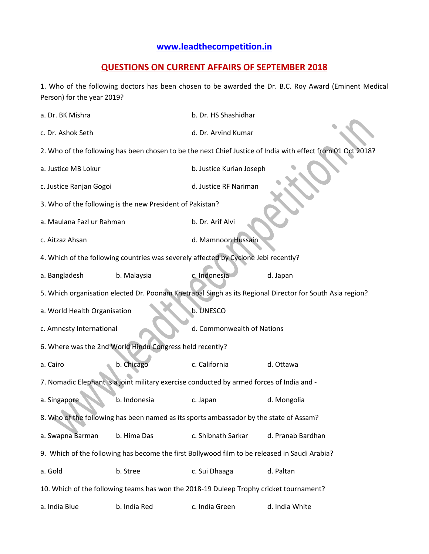## **[www.leadthecompetition.in](http://www.leadthecompetition.in/)**

## **QUESTIONS ON CURRENT AFFAIRS OF SEPTEMBER 2018**

1. Who of the following doctors has been chosen to be awarded the Dr. B.C. Roy Award (Eminent Medical Person) for the year 2019?

| a. Dr. BK Mishra                                                                                            |                                                           | b. Dr. HS Shashidhar       |                   |  |  |  |
|-------------------------------------------------------------------------------------------------------------|-----------------------------------------------------------|----------------------------|-------------------|--|--|--|
| c. Dr. Ashok Seth                                                                                           |                                                           | d. Dr. Arvind Kumar        |                   |  |  |  |
| 2. Who of the following has been chosen to be the next Chief Justice of India with effect from 01 Oct 2018? |                                                           |                            |                   |  |  |  |
| a. Justice MB Lokur                                                                                         |                                                           | b. Justice Kurian Joseph   |                   |  |  |  |
| c. Justice Ranjan Gogoi                                                                                     |                                                           | d. Justice RF Nariman      |                   |  |  |  |
|                                                                                                             | 3. Who of the following is the new President of Pakistan? |                            |                   |  |  |  |
| a. Maulana Fazl ur Rahman                                                                                   |                                                           | b. Dr. Arif Alvi           |                   |  |  |  |
| c. Aitzaz Ahsan                                                                                             |                                                           | d. Mamnoon Hussain         |                   |  |  |  |
| 4. Which of the following countries was severely affected by Cyclone Jebi recently?                         |                                                           |                            |                   |  |  |  |
| a. Bangladesh                                                                                               | b. Malaysia                                               | c. Indonesia               | d. Japan          |  |  |  |
| 5. Which organisation elected Dr. Poonam Khetrapal Singh as its Regional Director for South Asia region?    |                                                           |                            |                   |  |  |  |
| b. UNESCO<br>a. World Health Organisation                                                                   |                                                           |                            |                   |  |  |  |
| c. Amnesty International                                                                                    |                                                           | d. Commonwealth of Nations |                   |  |  |  |
|                                                                                                             | 6. Where was the 2nd World Hindu Congress held recently?  |                            |                   |  |  |  |
| a. Cairo                                                                                                    | b. Chicago                                                | c. California              | d. Ottawa         |  |  |  |
| 7. Nomadic Elephant is a joint military exercise conducted by armed forces of India and -                   |                                                           |                            |                   |  |  |  |
| a. Singapore                                                                                                | b. Indonesia                                              | c. Japan                   | d. Mongolia       |  |  |  |
| 8. Who of the following has been named as its sports ambassador by the state of Assam?                      |                                                           |                            |                   |  |  |  |
| a. Swapna Barman                                                                                            | b. Hima Das                                               | c. Shibnath Sarkar         | d. Pranab Bardhan |  |  |  |
| 9. Which of the following has become the first Bollywood film to be released in Saudi Arabia?               |                                                           |                            |                   |  |  |  |
| a. Gold                                                                                                     | b. Stree                                                  | c. Sui Dhaaga              | d. Paltan         |  |  |  |
| 10. Which of the following teams has won the 2018-19 Duleep Trophy cricket tournament?                      |                                                           |                            |                   |  |  |  |
| a. India Blue                                                                                               | b. India Red                                              | c. India Green             | d. India White    |  |  |  |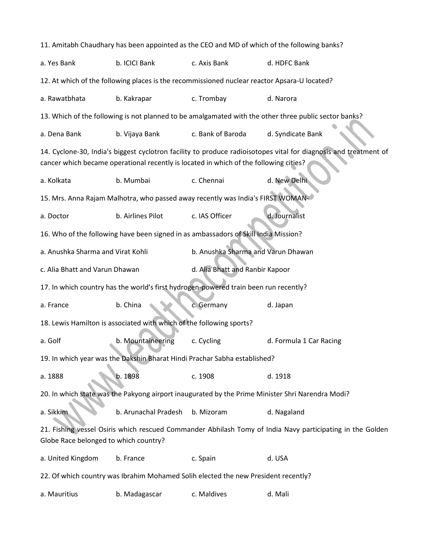11. Amitabh Chaudhary has been appointed as the CEO and MD of which of the following banks? a. Yes Bank b. ICICI Bank c. Axis Bank d. HDFC Bank 12. At which of the following places is the recommissioned nuclear reactor Apsara-U located? a. Rawatbhata b. Kakrapar c. Trombay d. Narora 13. Which of the following is not planned to be amalgamated with the other three public sector banks? a. Dena Bank b. Vijaya Bank c. Bank of Baroda d. Syndicate Bank 14. Cyclone-30, India's biggest cyclotron facility to produce radioisotopes vital for diagnosis and treatment of cancer which became operational recently is located in which of the following cities? a. Kolkata b. Mumbai c. Chennai d. New Delhi 15. Mrs. Anna Rajam Malhotra, who passed away recently was India's FIRST WOMANa. Doctor b. Airlines Pilot c. IAS Officer d. Journalist 16. Who of the following have been signed in as ambassadors of Skill India Mission? a. Anushka Sharma and Virat Kohli b. Anushka Sharma and Varun Dhawan c. Alia Bhatt and Varun Dhawan d. Alia Bhatt and Ranbir Kapoor 17. In which country has the world's first hydrogen-powered train been run recently? a. France b. China c. Germany d. Japan 18. Lewis Hamilton is associated with which of the following sports? a. Golf **b. Mountaineering c. Cycling d. Formula 1 Car Racing** 19. In which year was the Dakshin Bharat Hindi Prachar Sabha established? a. 1888 b. 1898 c. 1908 d. 1918 20. In which state was the Pakyong airport inaugurated by the Prime Minister Shri Narendra Modi? a. Sikkim b. Arunachal Pradesh b. Mizoram d. Nagaland 21. Fishing vessel Osiris which rescued Commander Abhilash Tomy of India Navy participating in the Golden Globe Race belonged to which country? a. United Kingdom b. France c. Spain d. USA 22. Of which country was Ibrahim Mohamed Solih elected the new President recently? a. Mauritius b. Madagascar c. Maldives d. Mali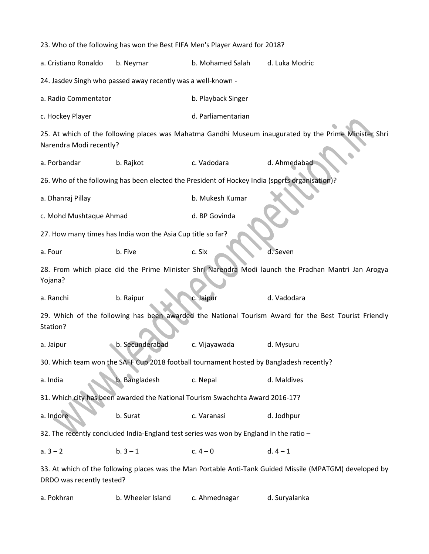23. Who of the following has won the Best FIFA Men's Player Award for 2018? a. Cristiano Ronaldo b. Neymar b. Mohamed Salah d. Luka Modric 24. Jasdev Singh who passed away recently was a well-known a. Radio Commentator b. Playback Singer c. Hockey Player and the control of the control of the control of Parliamentarian 25. At which of the following places was Mahatma Gandhi Museum inaugurated by the Prime Minister Shri Narendra Modi recently? a. Porbandar b. Rajkot c. Vadodara d. Ahmedabad 26. Who of the following has been elected the President of Hockey India (sports organisation)? a. Dhanraj Pillay b. Mukesh Kumar c. Mohd Mushtaque Ahmad d. BP Govinda 27. How many times has India won the Asia Cup title so far? a. Four b. Five c. Six c. Six d. Seven 28. From which place did the Prime Minister Shri Narendra Modi launch the Pradhan Mantri Jan Arogya Yojana? a. Ranchi b. Raipur c. Jaipur d. Vadodara 29. Which of the following has been awarded the National Tourism Award for the Best Tourist Friendly Station? a. Jaipur b. Secunderabad c. Vijayawada d. Mysuru 30. Which team won the SAFF Cup 2018 football tournament hosted by Bangladesh recently? a. India b. Bangladesh c. Nepal d. Maldives 31. Which city has been awarded the National Tourism Swachchta Award 2016-17? a. Indore b. Surat c. Varanasi d. Jodhpur 32. The recently concluded India-England test series was won by England in the ratio – a.  $3-2$  b.  $3-1$  c.  $4-0$  d.  $4-1$ 33. At which of the following places was the Man Portable Anti-Tank Guided Missile (MPATGM) developed by DRDO was recently tested?

a. Pokhran b. Wheeler Island c. Ahmednagar d. Suryalanka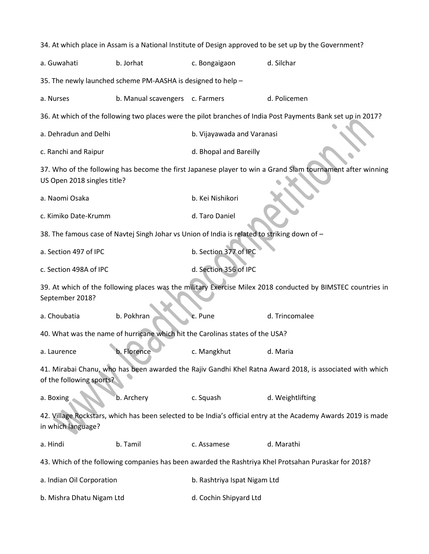| 34. At which place in Assam is a National Institute of Design approved to be set up by the Government?                                    |                                 |                              |                                                                                                              |  |  |  |
|-------------------------------------------------------------------------------------------------------------------------------------------|---------------------------------|------------------------------|--------------------------------------------------------------------------------------------------------------|--|--|--|
| a. Guwahati                                                                                                                               | b. Jorhat                       | c. Bongaigaon                | d. Silchar                                                                                                   |  |  |  |
| 35. The newly launched scheme PM-AASHA is designed to help -                                                                              |                                 |                              |                                                                                                              |  |  |  |
| a. Nurses                                                                                                                                 | b. Manual scavengers c. Farmers |                              | d. Policemen                                                                                                 |  |  |  |
|                                                                                                                                           |                                 |                              | 36. At which of the following two places were the pilot branches of India Post Payments Bank set up in 2017? |  |  |  |
| a. Dehradun and Delhi                                                                                                                     |                                 | b. Vijayawada and Varanasi   |                                                                                                              |  |  |  |
| c. Ranchi and Raipur                                                                                                                      |                                 | d. Bhopal and Bareilly       |                                                                                                              |  |  |  |
| 37. Who of the following has become the first Japanese player to win a Grand Slam tournament after winning<br>US Open 2018 singles title? |                                 |                              |                                                                                                              |  |  |  |
| a. Naomi Osaka                                                                                                                            |                                 | b. Kei Nishikori             |                                                                                                              |  |  |  |
| c. Kimiko Date-Krumm                                                                                                                      |                                 | d. Taro Daniel               |                                                                                                              |  |  |  |
| 38. The famous case of Navtej Singh Johar vs Union of India is related to striking down of -                                              |                                 |                              |                                                                                                              |  |  |  |
| a. Section 497 of IPC                                                                                                                     |                                 | b. Section 377 of IPC        |                                                                                                              |  |  |  |
| c. Section 498A of IPC                                                                                                                    |                                 | d. Section 356 of IPC        |                                                                                                              |  |  |  |
| 39. At which of the following places was the military Exercise Milex 2018 conducted by BIMSTEC countries in<br>September 2018?            |                                 |                              |                                                                                                              |  |  |  |
| a. Choubatia                                                                                                                              | b. Pokhran                      | c. Pune                      | d. Trincomalee                                                                                               |  |  |  |
| 40. What was the name of hurricane which hit the Carolinas states of the USA?                                                             |                                 |                              |                                                                                                              |  |  |  |
| a. Laurence                                                                                                                               | b. Florence                     | c. Mangkhut                  | d. Maria                                                                                                     |  |  |  |
| 41. Mirabai Chanu, who has been awarded the Rajiv Gandhi Khel Ratna Award 2018, is associated with which<br>of the following sports?      |                                 |                              |                                                                                                              |  |  |  |
| a. Boxing                                                                                                                                 | b. Archery                      | c. Squash                    | d. Weightlifting                                                                                             |  |  |  |
| 42. Village Rockstars, which has been selected to be India's official entry at the Academy Awards 2019 is made<br>in which language?      |                                 |                              |                                                                                                              |  |  |  |
| a. Hindi                                                                                                                                  | b. Tamil                        | c. Assamese                  | d. Marathi                                                                                                   |  |  |  |
| 43. Which of the following companies has been awarded the Rashtriya Khel Protsahan Puraskar for 2018?                                     |                                 |                              |                                                                                                              |  |  |  |
| a. Indian Oil Corporation                                                                                                                 |                                 | b. Rashtriya Ispat Nigam Ltd |                                                                                                              |  |  |  |
| b. Mishra Dhatu Nigam Ltd                                                                                                                 |                                 | d. Cochin Shipyard Ltd       |                                                                                                              |  |  |  |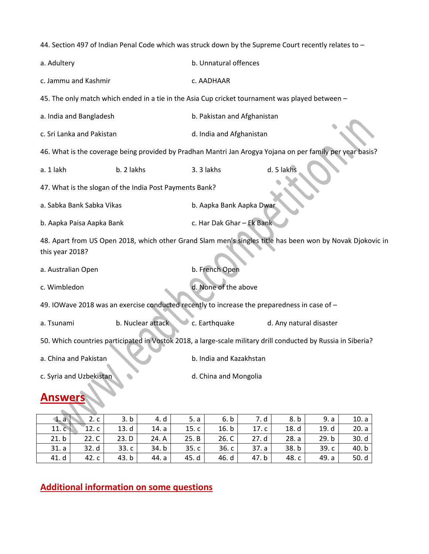44. Section 497 of Indian Penal Code which was struck down by the Supreme Court recently relates to –

| a. Adultery                                                                                                                  |                                                                                                 | b. Unnatural offences       |                                                                                                           |  |  |  |
|------------------------------------------------------------------------------------------------------------------------------|-------------------------------------------------------------------------------------------------|-----------------------------|-----------------------------------------------------------------------------------------------------------|--|--|--|
| c. Jammu and Kashmir                                                                                                         |                                                                                                 | c. AADHAAR                  |                                                                                                           |  |  |  |
|                                                                                                                              | 45. The only match which ended in a tie in the Asia Cup cricket tournament was played between - |                             |                                                                                                           |  |  |  |
| a. India and Bangladesh                                                                                                      |                                                                                                 | b. Pakistan and Afghanistan |                                                                                                           |  |  |  |
| c. Sri Lanka and Pakistan                                                                                                    |                                                                                                 | d. India and Afghanistan    |                                                                                                           |  |  |  |
|                                                                                                                              |                                                                                                 |                             | 46. What is the coverage being provided by Pradhan Mantri Jan Arogya Yojana on per family per year basis? |  |  |  |
| a. 1 lakh                                                                                                                    | b. 2 lakhs                                                                                      | 3.3 lakhs                   | d. 5 lakhs                                                                                                |  |  |  |
| 47. What is the slogan of the India Post Payments Bank?                                                                      |                                                                                                 |                             |                                                                                                           |  |  |  |
| a. Sabka Bank Sabka Vikas                                                                                                    |                                                                                                 | b. Aapka Bank Aapka Dwar    |                                                                                                           |  |  |  |
| b. Aapka Paisa Aapka Bank                                                                                                    |                                                                                                 | c. Har Dak Ghar - Ek Bank   |                                                                                                           |  |  |  |
| 48. Apart from US Open 2018, which other Grand Slam men's singles title has been won by Novak Djokovic in<br>this year 2018? |                                                                                                 |                             |                                                                                                           |  |  |  |
| a. Australian Open                                                                                                           |                                                                                                 | b. French Open              |                                                                                                           |  |  |  |
| c. Wimbledon                                                                                                                 |                                                                                                 | d. None of the above        |                                                                                                           |  |  |  |
| 49. IOWave 2018 was an exercise conducted recently to increase the preparedness in case of -                                 |                                                                                                 |                             |                                                                                                           |  |  |  |
| a. Tsunami                                                                                                                   | b. Nuclear attack                                                                               | c. Earthquake               | d. Any natural disaster                                                                                   |  |  |  |
| 50. Which countries participated in Vostok 2018, a large-scale military drill conducted by Russia in Siberia?                |                                                                                                 |                             |                                                                                                           |  |  |  |
| a. China and Pakistan                                                                                                        |                                                                                                 | b. India and Kazakhstan     |                                                                                                           |  |  |  |
| c. Syria and Uzbekistan                                                                                                      |                                                                                                 | d. China and Mongolia       |                                                                                                           |  |  |  |
| nswers                                                                                                                       |                                                                                                 |                             |                                                                                                           |  |  |  |

| $\mathbf{1}$ . a | 2.c   | 3. b  | 4. d  | 5. a  | 6. b  | 7. d  | 8. b  | 9. a  | 10. a |
|------------------|-------|-------|-------|-------|-------|-------|-------|-------|-------|
| 11.c             | 12.c  | 13.d  | 14. a | 15.c  | 16. b | 17.c  | 18. d | 19. d | 20. a |
| 21.b             | 22. C | 23. D | 24. A | 25. B | 26. C | 27.d  | 28. a | 29. b | 30.d  |
| 31. a            | 32. d | 33.c  | 34. b | 35.c  | 36.c  | 37. a | 38.b  | 39.c  | 40.b  |
| 41. d            | 42. c | 43.b  | 44. a | 45. d | 46. d | 47. b | 48. c | 49. a | 50. d |

**Additional information on some questions**